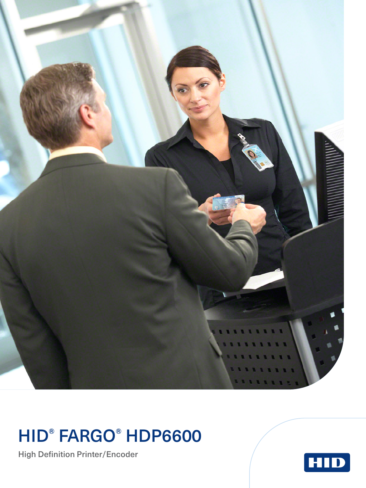

## HID® FARGO® HDP6600

High Definition Printer/Encoder

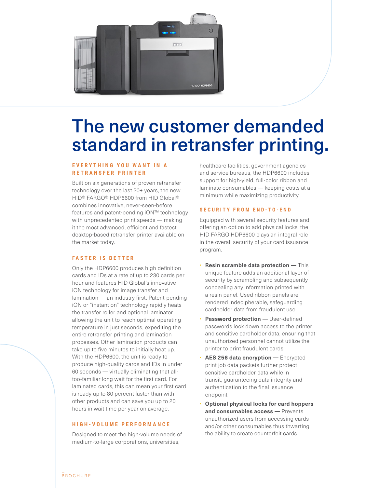

## The new customer demanded standard in retransfer printing.

### **E V E R Y T H I N G Y O U W A N T I N A RETRANSFER PRINTER**

Built on six generations of proven retransfer technology over the last 20+ years, the new HID® FARGO® HDP6600 from HID Global® combines innovative, never-seen-before features and patent-pending iON™ technology with unprecedented print speeds — making it the most advanced, efficient and fastest desktop-based retransfer printer available on the market today.

### **FASTER IS BETTER**

Only the HDP6600 produces high definition cards and IDs at a rate of up to 230 cards per hour and features HID Global's innovative iON technology for image transfer and lamination — an industry first. Patent-pending iON or "instant on" technology rapidly heats the transfer roller and optional laminator allowing the unit to reach optimal operating temperature in just seconds, expediting the entire retransfer printing and lamination processes. Other lamination products can take up to five minutes to initially heat up. With the HDP6600, the unit is ready to produce high-quality cards and IDs in under 60 seconds — virtually eliminating that alltoo-familiar long wait for the first card. For laminated cards, this can mean your first card is ready up to 80 percent faster than with other products and can save you up to 20 hours in wait time per year on average.

### **HIGH-VOLUME PERFORMANCE**

Designed to meet the high-volume needs of medium-to-large corporations, universities,

healthcare facilities, government agencies and service bureaus, the HDP6600 includes support for high-yield, full-color ribbon and laminate consumables — keeping costs at a minimum while maximizing productivity.

#### **SECURITY FROM END-TO-END**

Equipped with several security features and offering an option to add physical locks, the HID FARGO HDP6600 plays an integral role in the overall security of your card issuance program.

- **Resin scramble data protection —** This unique feature adds an additional layer of security by scrambling and subsequently concealing any information printed with a resin panel. Used ribbon panels are rendered indecipherable, safeguarding cardholder data from fraudulent use.
- **Password protection User-defined** passwords lock down access to the printer and sensitive cardholder data, ensuring that unauthorized personnel cannot utilize the printer to print fraudulent cards
- **AES 256 data encryption —** Encrypted print job data packets further protect sensitive cardholder data while in transit, guaranteeing data integrity and authentication to the final issuance endpoint
- **Optional physical locks for card hoppers and consumables access —** Prevents unauthorized users from accessing cards and/or other consumables thus thwarting the ability to create counterfeit cards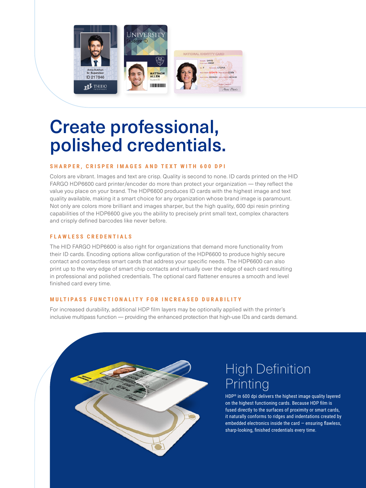

# Create professional, polished credentials.

### **SHARPER, CRISPER IMAGES AND TEXT WITH 600 DPI**

Colors are vibrant. Images and text are crisp. Quality is second to none. ID cards printed on the HID FARGO HDP6600 card printer/encoder do more than protect your organization — they reflect the value you place on your brand. The HDP6600 produces ID cards with the highest image and text quality available, making it a smart choice for any organization whose brand image is paramount. Not only are colors more brilliant and images sharper, but the high quality, 600 dpi resin printing capabilities of the HDP6600 give you the ability to precisely print small text, complex characters and crisply defined barcodes like never before.

### **FLAWLESS CREDENTIALS**

The HID FARGO HDP6600 is also right for organizations that demand more functionality from their ID cards. Encoding options allow configuration of the HDP6600 to produce highly secure contact and contactless smart cards that address your specific needs. The HDP6600 can also print up to the very edge of smart chip contacts and virtually over the edge of each card resulting in professional and polished credentials. The optional card flattener ensures a smooth and level finished card every time.

### **MULTIPASS FUNCTIONALITY FOR INCREASED DURABILITY**

For increased durability, additional HDP film layers may be optionally applied with the printer's inclusive multipass function — providing the enhanced protection that high-use IDs and cards demand.



### High Definition **Printing**

HDP® in 600 dpi delivers the highest image quality layered on the highest functioning cards. Because HDP film is fused directly to the surfaces of proximity or smart cards, it naturally conforms to ridges and indentations created by embedded electronics inside the card  $-$  ensuring flawless, sharp-looking, finished credentials every time.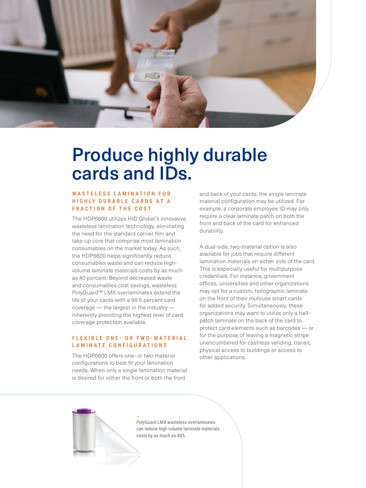

### Produce highly durable cards and IDs.

### **WASTELESS LAMINATION FOR HIGHLY DURABLE CARDS AT A FRACTION OF THE COST**

The HDP6600 utilizes HID Global's innovative wasteless lamination technology, eliminating the need for the standard carrier film and take-up core that comprise most lamination consumables on the market today. As such, the HDP6600 helps significantly reduce consumables waste and can reduce highvolume laminate materials costs by as much as 40 percent. Beyond decreased waste and consumables cost savings, wasteless PolyGuard™ LMX overlaminates extend the life of your cards with a 99.5 percent card coverage — the largest in the industry inherently providing the highest level of card coverage protection available.

### **F L E X I B L E O N E - O R T W O - M A T E R I A L LAMINATE CONFIGURATIONS**

The HDP6600 offers one- or two-material configurations to best fit your lamination needs. When only a single lamination material is desired for either the front or both the front

and back of your cards, the single laminate material configuration may be utilized. For example, a corporate employee ID may only require a clear laminate patch on both the front and back of the card for enhanced durability.

A dual-side, two-material option is also available for jobs that require different lamination materials on either side of the card. This is especially useful for multipurpose credentials. For instance, government offices, universities and other organizations may opt for a custom, holographic laminate on the front of their multiuse smart cards for added security. Simultaneously, these organizations may want to utilize only a halfpatch laminate on the back of the card to protect card elements such as barcodes — or for the purpose of leaving a magnetic stripe unencumbered for cashless vending, transit, physical access to buildings or access to other applications.



PolyGuard LMX wasteless overlaminates can reduce high volume laminate materials costs by as much as 40%.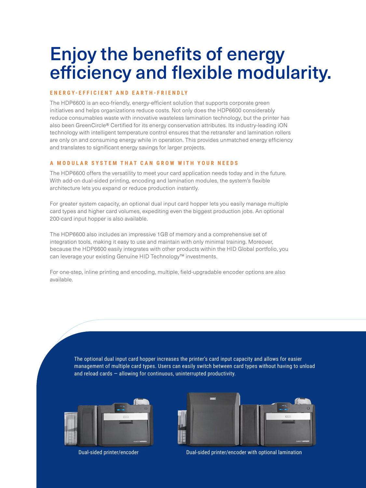### Enjoy the benefits of energy efficiency and flexible modularity.

### **E N E R G Y- E F F I C I E N T A N D E A RT H - F R I E N D LY**

The HDP6600 is an eco-friendly, energy-efficient solution that supports corporate green initiatives and helps organizations reduce costs. Not only does the HDP6600 considerably reduce consumables waste with innovative wasteless lamination technology, but the printer has also been GreenCircle® Certified for its energy conservation attributes. Its industry-leading iON technology with intelligent temperature control ensures that the retransfer and lamination rollers are only on and consuming energy while in operation. This provides unmatched energy efficiency and translates to significant energy savings for larger projects.

### **A MODULAR SYSTEM THAT CAN GROW WITH YOUR NEEDS**

The HDP6600 offers the versatility to meet your card application needs today and in the future. With add-on dual-sided printing, encoding and lamination modules, the system's flexible architecture lets you expand or reduce production instantly.

For greater system capacity, an optional dual input card hopper lets you easily manage multiple card types and higher card volumes, expediting even the biggest production jobs. An optional 200-card input hopper is also available.

The HDP6600 also includes an impressive 1GB of memory and a comprehensive set of integration tools, making it easy to use and maintain with only minimal training. Moreover, because the HDP6600 easily integrates with other products within the HID Global portfolio, you can leverage your existing Genuine HID Technology™ investments.

For one-step, inline printing and encoding, multiple, field-upgradable encoder options are also available.

> The optional dual input card hopper increases the printer's card input capacity and allows for easier management of multiple card types. Users can easily switch between card types without having to unload and reload cards — allowing for continuous, uninterrupted productivity.





Dual-sided printer/encoder Dual-sided printer/encoder with optional lamination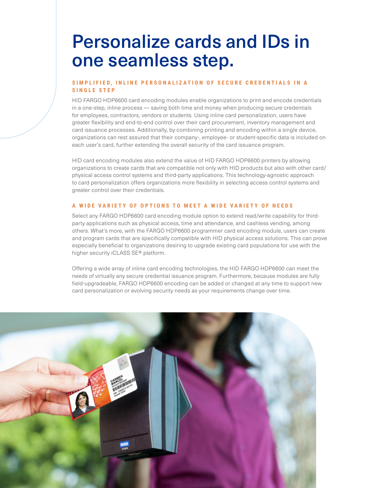### Personalize cards and IDs in one seamless step.

### SIMPLIFIED, INLINE PERSONALIZATION OF SECURE CREDENTIALS IN A **SINGLE STEP**

HID FARGO HDP6600 card encoding modules enable organizations to print and encode credentials in a one-step, inline process — saving both time and money when producing secure credentials for employees, contractors, vendors or students. Using inline card personalization, users have greater flexibility and end-to-end control over their card procurement, inventory management and card issuance processes. Additionally, by combining printing and encoding within a single device, organizations can rest assured that their company-, employee- or student-specific data is included on each user's card, further extending the overall security of the card issuance program.

HID card encoding modules also extend the value of HID FARGO HDP6600 printers by allowing organizations to create cards that are compatible not only with HID products but also with other card/ physical access control systems and third-party applications. This technology-agnostic approach to card personalization offers organizations more flexibility in selecting access control systems and greater control over their credentials.

### **A WIDE VARIETY OF OPTIONS TO MEET A WIDE VARIETY OF NEEDS**

Select any FARGO HDP6600 card encoding module option to extend read/write capability for thirdparty applications such as physical access, time and attendance, and cashless vending, among others. What's more, with the FARGO HDP6600 programmer card encoding module, users can create and program cards that are specifically compatible with HID physical access solutions. This can prove especially beneficial to organizations desiring to upgrade existing card populations for use with the higher security iCLASS SE® platform.

Offering a wide array of inline card encoding technologies, the HID FARGO HDP6600 can meet the needs of virtually any secure credential issuance program. Furthermore, because modules are fully field-upgradeable, FARGO HDP6600 encoding can be added or changed at any time to support new card personalization or evolving security needs as your requirements change over time.

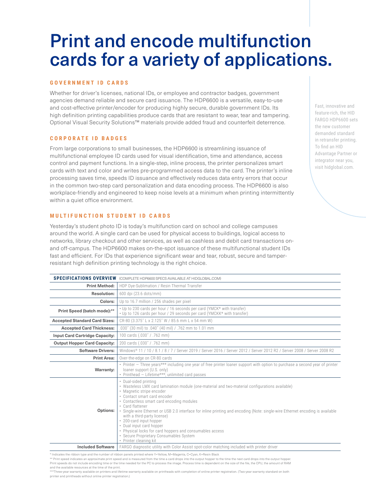## Print and encode multifunction cards for a variety of applications.

#### **GOVERNMENT ID CARDS**

Whether for driver's licenses, national IDs, or employee and contractor badges, government agencies demand reliable and secure card issuance. The HDP6600 is a versatile, easy-to-use and cost-effective printer/encoder for producing highly secure, durable government IDs. Its high definition printing capabilities produce cards that are resistant to wear, tear and tampering. Optional Visual Security Solutions™ materials provide added fraud and counterfeit deterrence.

#### **C O R P O R A T E I D B A D G E S**

From large corporations to small businesses, the HDP6600 is streamlining issuance of multifunctional employee ID cards used for visual identification, time and attendance, access control and payment functions. In a single-step, inline process, the printer personalizes smart cards with text and color and writes pre-programmed access data to the card. The printer's inline processing saves time, speeds ID issuance and effectively reduces data entry errors that occur in the common two-step card personalization and data encoding process. The HDP6600 is also workplace-friendly and engineered to keep noise levels at a minimum when printing intermittently within a quiet office environment.

#### **MULTIFUNCTION STUDENT ID CARDS**

Yesterday's student photo ID is today's multifunction card on school and college campuses around the world. A single card can be used for physical access to buildings, logical access to networks, library checkout and other services, as well as cashless and debit card transactions onand off-campus. The HDP6600 makes on-the-spot issuance of these multifunctional student IDs fast and efficient. For IDs that experience significant wear and tear, robust, secure and tamperresistant high definition printing technology is the right choice.

|                                                                                                                 | <b>SPECIFICATIONS OVERVIEW</b> (COMPLETE HDP6600 SPECS AVAILABLE AT HIDGLOBAL.COM)                                                                                                                                                                                                                                                                                                                                                                                                                                                                                                                              |
|-----------------------------------------------------------------------------------------------------------------|-----------------------------------------------------------------------------------------------------------------------------------------------------------------------------------------------------------------------------------------------------------------------------------------------------------------------------------------------------------------------------------------------------------------------------------------------------------------------------------------------------------------------------------------------------------------------------------------------------------------|
| <b>Print Method:</b>                                                                                            | HDP Dye-Sublimation / Resin Thermal Transfer                                                                                                                                                                                                                                                                                                                                                                                                                                                                                                                                                                    |
| <b>Resolution:</b>                                                                                              | 600 dpi (23.6 dots/mm)                                                                                                                                                                                                                                                                                                                                                                                                                                                                                                                                                                                          |
| Colors:                                                                                                         | Up to 16.7 million / 256 shades per pixel                                                                                                                                                                                                                                                                                                                                                                                                                                                                                                                                                                       |
| Print Speed (batch mode):**                                                                                     | • Up to 230 cards per hour / 16 seconds per card (YMCK* with transfer)<br>• Up to 126 cards per hour / 29 seconds per card (YMCKK* with transfer)                                                                                                                                                                                                                                                                                                                                                                                                                                                               |
| <b>Accepted Standard Card Sizes:</b>                                                                            | CR-80 (3.375" L x 2.125" W / 85.6 mm L x 54 mm W)                                                                                                                                                                                                                                                                                                                                                                                                                                                                                                                                                               |
| <b>Accepted Card Thickness:</b>                                                                                 | .030" (30 mil) to .040" (40 mil) / .762 mm to 1.01 mm                                                                                                                                                                                                                                                                                                                                                                                                                                                                                                                                                           |
| <b>Input Card Cartridge Capacity:</b>                                                                           | 100 cards (.030" / .762 mm)                                                                                                                                                                                                                                                                                                                                                                                                                                                                                                                                                                                     |
| <b>Output Hopper Card Capacity:</b>                                                                             | 200 cards (.030" / .762 mm)                                                                                                                                                                                                                                                                                                                                                                                                                                                                                                                                                                                     |
| <b>Software Drivers:</b>                                                                                        | Windows® 11 / 10 / 8.1 / 8 / 7 / Server 2019 / Server 2016 / Server 2012 / Server 2012 R2 / Server 2008 / Server 2008 R2                                                                                                                                                                                                                                                                                                                                                                                                                                                                                        |
| <b>Print Area:</b>                                                                                              | Over-the-edge on CR-80 cards                                                                                                                                                                                                                                                                                                                                                                                                                                                                                                                                                                                    |
| Warranty:                                                                                                       | • Printer – Three years*** including one year of free printer loaner support with option to purchase a second year of printer<br>loaner support (U.S. only)<br>• Printhead - Lifetime ***; unlimited card passes                                                                                                                                                                                                                                                                                                                                                                                                |
| <b>Options:</b>                                                                                                 | • Dual-sided printing<br>. Wasteless LMX card lamination module (one-material and two-material configurations available)<br>• Magnetic stripe encoder<br>• Contact smart card encoder<br>• Contactless smart card encoding modules<br>• Card flattener<br>. Single-wire Ethernet or USB 2.0 interface for inline printing and encoding (Note: single-wire Ethernet encoding is available<br>with a third-party license)<br>• 200-card input hopper<br>• Dual input card hopper<br>• Physical locks for card hoppers and consumables access<br>· Secure Proprietary Consumables System<br>· Printer cleaning kit |
| <b>Included Software</b>                                                                                        | FARGO diagnostic utility with Color Assist spot-color matching included with printer driver                                                                                                                                                                                                                                                                                                                                                                                                                                                                                                                     |
| the contract of the contract of the contract of the contract of the contract of the contract of the contract of |                                                                                                                                                                                                                                                                                                                                                                                                                                                                                                                                                                                                                 |

ates the ribbon type and the number of ribbon panels printed where Y=Yellow, M=Magenta, C=Cyan, K=R

\*\* Print speed indicates an approximate print speed and is measured from the time a card drops into the output hopper to the time the next card drops into the output hopper Print speeds do not include encoding time or the time needed for the PC to process the image. Process time is dependent on the size of the file, the CPU, the amount of RAM

and the available resources at the time of the print.

\*\*\*Three-year warranty available on printers and lifetime warranty available on printheads with completion of online printer registration. (Two-year warranty standard on both printer and printheads without online printer registration.)

Fast, innovative and feature-rich, the HID FARGO HDP6600 sets the new customer demanded standard in retransfer printing. To find an HID Advantage Partner or integrator near you, visit hidglobal.com.